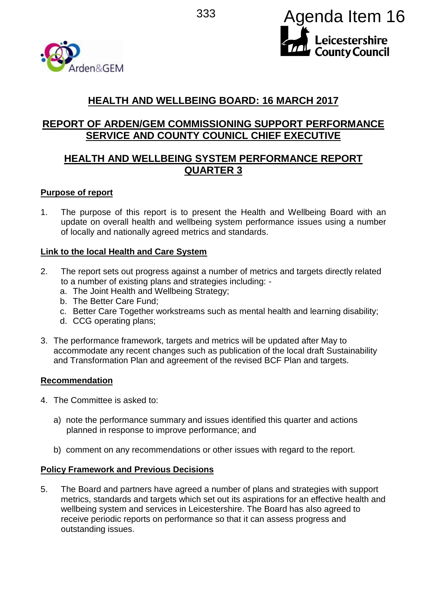



# **HEALTH AND WELLBEING BOARD: 16 MARCH 2017**

# **REPORT OF ARDEN/GEM COMMISSIONING SUPPORT PERFORMANCE SERVICE AND COUNTY COUNICL CHIEF EXECUTIVE**

# **HEALTH AND WELLBEING SYSTEM PERFORMANCE REPORT QUARTER 3**

### **Purpose of report**

1. The purpose of this report is to present the Health and Wellbeing Board with an update on overall health and wellbeing system performance issues using a number of locally and nationally agreed metrics and standards.

### **Link to the local Health and Care System**

- 2. The report sets out progress against a number of metrics and targets directly related to a number of existing plans and strategies including:
	- a. The Joint Health and Wellbeing Strategy;
	- b. The Better Care Fund;
	- c. Better Care Together workstreams such as mental health and learning disability;
	- d. CCG operating plans;
- 3. The performance framework, targets and metrics will be updated after May to accommodate any recent changes such as publication of the local draft Sustainability and Transformation Plan and agreement of the revised BCF Plan and targets.

#### **Recommendation**

- 4. The Committee is asked to:
	- a) note the performance summary and issues identified this quarter and actions planned in response to improve performance; and
	- b) comment on any recommendations or other issues with regard to the report.

#### **Policy Framework and Previous Decisions**

5. The Board and partners have agreed a number of plans and strategies with support metrics, standards and targets which set out its aspirations for an effective health and wellbeing system and services in Leicestershire. The Board has also agreed to receive periodic reports on performance so that it can assess progress and outstanding issues.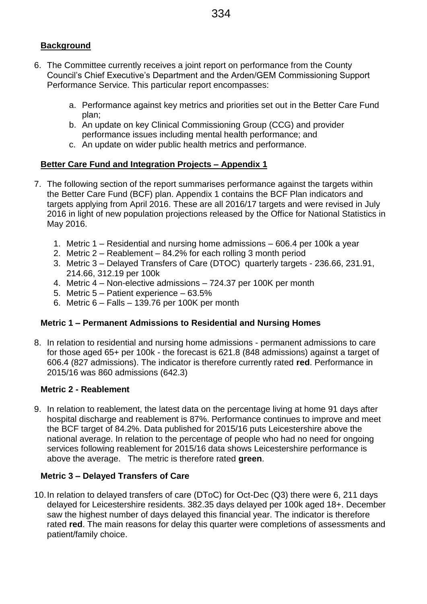- 6. The Committee currently receives a joint report on performance from the County Council's Chief Executive's Department and the Arden/GEM Commissioning Support Performance Service. This particular report encompasses:
	- a. Performance against key metrics and priorities set out in the Better Care Fund plan;
	- b. An update on key Clinical Commissioning Group (CCG) and provider performance issues including mental health performance; and
	- c. An update on wider public health metrics and performance.

# **Better Care Fund and Integration Projects – Appendix 1**

- 7. The following section of the report summarises performance against the targets within the Better Care Fund (BCF) plan. Appendix 1 contains the BCF Plan indicators and targets applying from April 2016. These are all 2016/17 targets and were revised in July 2016 in light of new population projections released by the Office for National Statistics in May 2016.
	- 1. Metric 1 Residential and nursing home admissions 606.4 per 100k a year
	- 2. Metric 2 Reablement 84.2% for each rolling 3 month period
	- 3. Metric 3 Delayed Transfers of Care (DTOC) quarterly targets 236.66, 231.91, 214.66, 312.19 per 100k
	- 4. Metric 4 Non-elective admissions 724.37 per 100K per month
	- 5. Metric 5 Patient experience 63.5%
	- 6. Metric 6 Falls 139.76 per 100K per month

# **Metric 1 – Permanent Admissions to Residential and Nursing Homes**

8. In relation to residential and nursing home admissions - permanent admissions to care for those aged 65+ per 100k - the forecast is 621.8 (848 admissions) against a target of 606.4 (827 admissions). The indicator is therefore currently rated **red**. Performance in 2015/16 was 860 admissions (642.3)

#### **Metric 2 - Reablement**

9. In relation to reablement, the latest data on the percentage living at home 91 days after hospital discharge and reablement is 87%. Performance continues to improve and meet the BCF target of 84.2%. Data published for 2015/16 puts Leicestershire above the national average. In relation to the percentage of people who had no need for ongoing services following reablement for 2015/16 data shows Leicestershire performance is above the average. The metric is therefore rated **green**.

# **Metric 3 – Delayed Transfers of Care**

10.In relation to delayed transfers of care (DToC) for Oct-Dec (Q3) there were 6, 211 days delayed for Leicestershire residents. 382.35 days delayed per 100k aged 18+. December saw the highest number of days delayed this financial year. The indicator is therefore rated **red**. The main reasons for delay this quarter were completions of assessments and patient/family choice.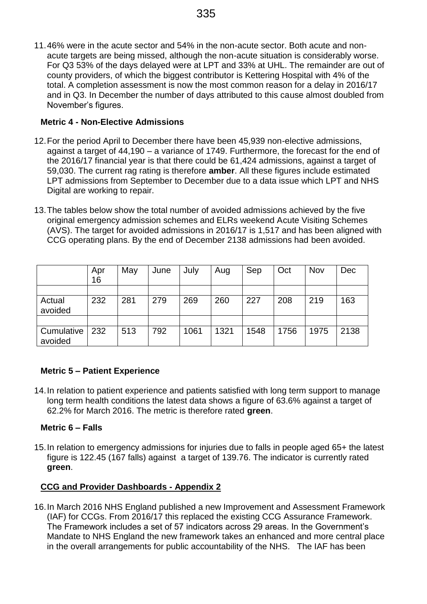11.46% were in the acute sector and 54% in the non-acute sector. Both acute and nonacute targets are being missed, although the non-acute situation is considerably worse. For Q3 53% of the days delayed were at LPT and 33% at UHL. The remainder are out of county providers, of which the biggest contributor is Kettering Hospital with 4% of the total. A completion assessment is now the most common reason for a delay in 2016/17 and in Q3. In December the number of days attributed to this cause almost doubled from November's figures.

# **Metric 4 - Non-Elective Admissions**

- 12.For the period April to December there have been 45,939 non-elective admissions, against a target of 44,190 – a variance of 1749. Furthermore, the forecast for the end of the 2016/17 financial year is that there could be 61,424 admissions, against a target of 59,030. The current rag rating is therefore **amber**. All these figures include estimated LPT admissions from September to December due to a data issue which LPT and NHS Digital are working to repair.
- 13.The tables below show the total number of avoided admissions achieved by the five original emergency admission schemes and ELRs weekend Acute Visiting Schemes (AVS). The target for avoided admissions in 2016/17 is 1,517 and has been aligned with CCG operating plans. By the end of December 2138 admissions had been avoided.

|                       | Apr<br>16 | May | June | July | Aug  | Sep  | Oct  | Nov  | Dec  |
|-----------------------|-----------|-----|------|------|------|------|------|------|------|
|                       |           |     |      |      |      |      |      |      |      |
| Actual<br>avoided     | 232       | 281 | 279  | 269  | 260  | 227  | 208  | 219  | 163  |
|                       |           |     |      |      |      |      |      |      |      |
| Cumulative<br>avoided | 232       | 513 | 792  | 1061 | 1321 | 1548 | 1756 | 1975 | 2138 |

# **Metric 5 – Patient Experience**

14.In relation to patient experience and patients satisfied with long term support to manage long term health conditions the latest data shows a figure of 63.6% against a target of 62.2% for March 2016. The metric is therefore rated **green**.

# **Metric 6 – Falls**

15.In relation to emergency admissions for injuries due to falls in people aged 65+ the latest figure is 122.45 (167 falls) against a target of 139.76. The indicator is currently rated **green**.

# **CCG and Provider Dashboards - Appendix 2**

16.In March 2016 NHS England published a new Improvement and Assessment Framework (IAF) for CCGs. From 2016/17 this replaced the existing CCG Assurance Framework. The Framework includes a set of 57 indicators across 29 areas. In the Government's Mandate to NHS England the new framework takes an enhanced and more central place in the overall arrangements for public accountability of the NHS. The IAF has been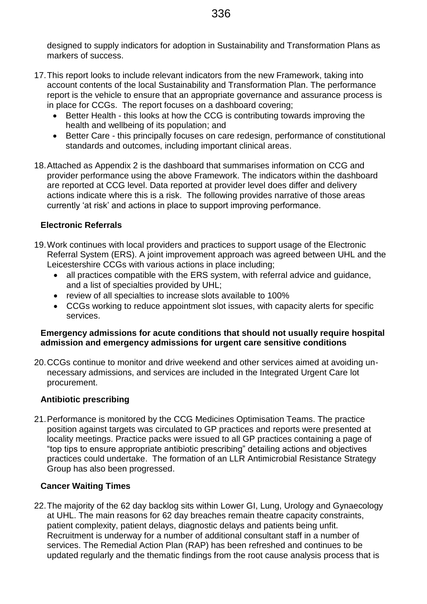designed to supply indicators for adoption in Sustainability and Transformation Plans as markers of success.

- 17.This report looks to include relevant indicators from the new Framework, taking into account contents of the local Sustainability and Transformation Plan. The performance report is the vehicle to ensure that an appropriate governance and assurance process is in place for CCGs. The report focuses on a dashboard covering;
	- Better Health this looks at how the CCG is contributing towards improving the health and wellbeing of its population; and
	- Better Care this principally focuses on care redesign, performance of constitutional standards and outcomes, including important clinical areas.
- 18.Attached as Appendix 2 is the dashboard that summarises information on CCG and provider performance using the above Framework. The indicators within the dashboard are reported at CCG level. Data reported at provider level does differ and delivery actions indicate where this is a risk. The following provides narrative of those areas currently 'at risk' and actions in place to support improving performance.

# **Electronic Referrals**

- 19.Work continues with local providers and practices to support usage of the Electronic Referral System (ERS). A joint improvement approach was agreed between UHL and the Leicestershire CCGs with various actions in place including;
	- all practices compatible with the ERS system, with referral advice and quidance, and a list of specialties provided by UHL;
	- review of all specialties to increase slots available to 100%
	- CCGs working to reduce appointment slot issues, with capacity alerts for specific services.

### **Emergency admissions for acute conditions that should not usually require hospital admission and emergency admissions for urgent care sensitive conditions**

20.CCGs continue to monitor and drive weekend and other services aimed at avoiding unnecessary admissions, and services are included in the Integrated Urgent Care lot procurement.

# **Antibiotic prescribing**

21.Performance is monitored by the CCG Medicines Optimisation Teams. The practice position against targets was circulated to GP practices and reports were presented at locality meetings. Practice packs were issued to all GP practices containing a page of "top tips to ensure appropriate antibiotic prescribing" detailing actions and objectives practices could undertake. The formation of an LLR Antimicrobial Resistance Strategy Group has also been progressed.

# **Cancer Waiting Times**

22.The majority of the 62 day backlog sits within Lower GI, Lung, Urology and Gynaecology at UHL. The main reasons for 62 day breaches remain theatre capacity constraints, patient complexity, patient delays, diagnostic delays and patients being unfit. Recruitment is underway for a number of additional consultant staff in a number of services. The Remedial Action Plan (RAP) has been refreshed and continues to be updated regularly and the thematic findings from the root cause analysis process that is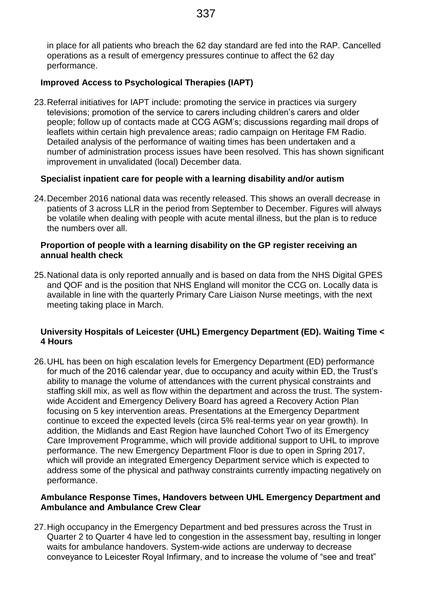in place for all patients who breach the 62 day standard are fed into the RAP. Cancelled operations as a result of emergency pressures continue to affect the 62 day performance.

### **Improved Access to Psychological Therapies (IAPT)**

23.Referral initiatives for IAPT include: promoting the service in practices via surgery televisions; promotion of the service to carers including children's carers and older people; follow up of contacts made at CCG AGM's; discussions regarding mail drops of leaflets within certain high prevalence areas; radio campaign on Heritage FM Radio. Detailed analysis of the performance of waiting times has been undertaken and a number of administration process issues have been resolved. This has shown significant improvement in unvalidated (local) December data.

#### **Specialist inpatient care for people with a learning disability and/or autism**

24.December 2016 national data was recently released. This shows an overall decrease in patients of 3 across LLR in the period from September to December. Figures will always be volatile when dealing with people with acute mental illness, but the plan is to reduce the numbers over all.

#### **Proportion of people with a learning disability on the GP register receiving an annual health check**

25.National data is only reported annually and is based on data from the NHS Digital GPES and QOF and is the position that NHS England will monitor the CCG on. Locally data is available in line with the quarterly Primary Care Liaison Nurse meetings, with the next meeting taking place in March.

### **University Hospitals of Leicester (UHL) Emergency Department (ED). Waiting Time < 4 Hours**

26.UHL has been on high escalation levels for Emergency Department (ED) performance for much of the 2016 calendar year, due to occupancy and acuity within ED, the Trust's ability to manage the volume of attendances with the current physical constraints and staffing skill mix, as well as flow within the department and across the trust. The systemwide Accident and Emergency Delivery Board has agreed a Recovery Action Plan focusing on 5 key intervention areas. Presentations at the Emergency Department continue to exceed the expected levels (circa 5% real-terms year on year growth). In addition, the Midlands and East Region have launched Cohort Two of its Emergency Care Improvement Programme, which will provide additional support to UHL to improve performance. The new Emergency Department Floor is due to open in Spring 2017, which will provide an integrated Emergency Department service which is expected to address some of the physical and pathway constraints currently impacting negatively on performance.

#### **Ambulance Response Times, Handovers between UHL Emergency Department and Ambulance and Ambulance Crew Clear**

27.High occupancy in the Emergency Department and bed pressures across the Trust in Quarter 2 to Quarter 4 have led to congestion in the assessment bay, resulting in longer waits for ambulance handovers. System-wide actions are underway to decrease conveyance to Leicester Royal Infirmary, and to increase the volume of "see and treat"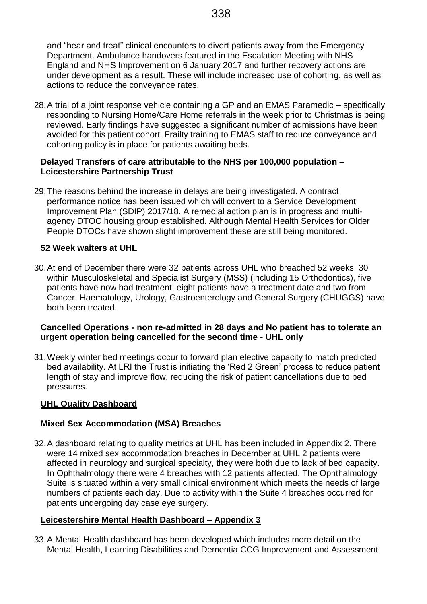and "hear and treat" clinical encounters to divert patients away from the Emergency Department. Ambulance handovers featured in the Escalation Meeting with NHS England and NHS Improvement on 6 January 2017 and further recovery actions are under development as a result. These will include increased use of cohorting, as well as actions to reduce the conveyance rates.

28.A trial of a joint response vehicle containing a GP and an EMAS Paramedic – specifically responding to Nursing Home/Care Home referrals in the week prior to Christmas is being reviewed. Early findings have suggested a significant number of admissions have been avoided for this patient cohort. Frailty training to EMAS staff to reduce conveyance and cohorting policy is in place for patients awaiting beds.

#### **Delayed Transfers of care attributable to the NHS per 100,000 population – Leicestershire Partnership Trust**

29.The reasons behind the increase in delays are being investigated. A contract performance notice has been issued which will convert to a Service Development Improvement Plan (SDIP) 2017/18. A remedial action plan is in progress and multiagency DTOC housing group established. Although Mental Health Services for Older People DTOCs have shown slight improvement these are still being monitored.

#### **52 Week waiters at UHL**

30.At end of December there were 32 patients across UHL who breached 52 weeks. 30 within Musculoskeletal and Specialist Surgery (MSS) (including 15 Orthodontics), five patients have now had treatment, eight patients have a treatment date and two from Cancer, Haematology, Urology, Gastroenterology and General Surgery (CHUGGS) have both been treated.

#### **Cancelled Operations - non re-admitted in 28 days and No patient has to tolerate an urgent operation being cancelled for the second time - UHL only**

31.Weekly winter bed meetings occur to forward plan elective capacity to match predicted bed availability. At LRI the Trust is initiating the 'Red 2 Green' process to reduce patient length of stay and improve flow, reducing the risk of patient cancellations due to bed pressures.

#### **UHL Quality Dashboard**

#### **Mixed Sex Accommodation (MSA) Breaches**

32.A dashboard relating to quality metrics at UHL has been included in Appendix 2. There were 14 mixed sex accommodation breaches in December at UHL 2 patients were affected in neurology and surgical specialty, they were both due to lack of bed capacity. In Ophthalmology there were 4 breaches with 12 patients affected. The Ophthalmology Suite is situated within a very small clinical environment which meets the needs of large numbers of patients each day. Due to activity within the Suite 4 breaches occurred for patients undergoing day case eye surgery.

#### **Leicestershire Mental Health Dashboard – Appendix 3**

33.A Mental Health dashboard has been developed which includes more detail on the Mental Health, Learning Disabilities and Dementia CCG Improvement and Assessment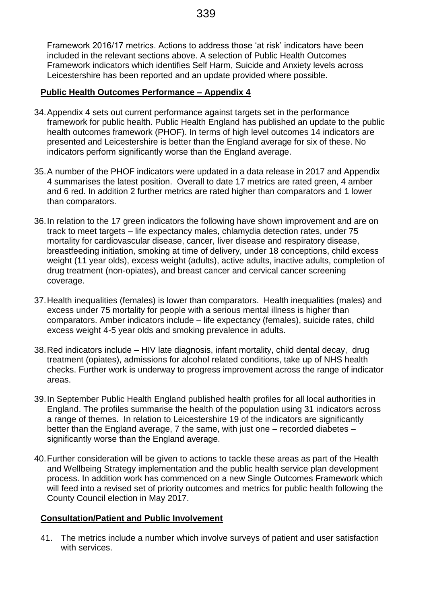Framework 2016/17 metrics. Actions to address those 'at risk' indicators have been included in the relevant sections above. A selection of Public Health Outcomes Framework indicators which identifies Self Harm, Suicide and Anxiety levels across Leicestershire has been reported and an update provided where possible.

### **Public Health Outcomes Performance – Appendix 4**

- 34.Appendix 4 sets out current performance against targets set in the performance framework for public health. Public Health England has published an update to the public health outcomes framework (PHOF). In terms of high level outcomes 14 indicators are presented and Leicestershire is better than the England average for six of these. No indicators perform significantly worse than the England average.
- 35.A number of the PHOF indicators were updated in a data release in 2017 and Appendix 4 summarises the latest position. Overall to date 17 metrics are rated green, 4 amber and 6 red. In addition 2 further metrics are rated higher than comparators and 1 lower than comparators.
- 36.In relation to the 17 green indicators the following have shown improvement and are on track to meet targets – life expectancy males, chlamydia detection rates, under 75 mortality for cardiovascular disease, cancer, liver disease and respiratory disease, breastfeeding initiation, smoking at time of delivery, under 18 conceptions, child excess weight (11 year olds), excess weight (adults), active adults, inactive adults, completion of drug treatment (non-opiates), and breast cancer and cervical cancer screening coverage.
- 37.Health inequalities (females) is lower than comparators. Health inequalities (males) and excess under 75 mortality for people with a serious mental illness is higher than comparators. Amber indicators include – life expectancy (females), suicide rates, child excess weight 4-5 year olds and smoking prevalence in adults.
- 38.Red indicators include HIV late diagnosis, infant mortality, child dental decay, drug treatment (opiates), admissions for alcohol related conditions, take up of NHS health checks. Further work is underway to progress improvement across the range of indicator areas.
- 39.In September Public Health England published health profiles for all local authorities in England. The profiles summarise the health of the population using 31 indicators across a range of themes. In relation to Leicestershire 19 of the indicators are significantly better than the England average, 7 the same, with just one – recorded diabetes – significantly worse than the England average.
- 40.Further consideration will be given to actions to tackle these areas as part of the Health and Wellbeing Strategy implementation and the public health service plan development process. In addition work has commenced on a new Single Outcomes Framework which will feed into a revised set of priority outcomes and metrics for public health following the County Council election in May 2017.

#### **Consultation/Patient and Public Involvement**

41. The metrics include a number which involve surveys of patient and user satisfaction with services.